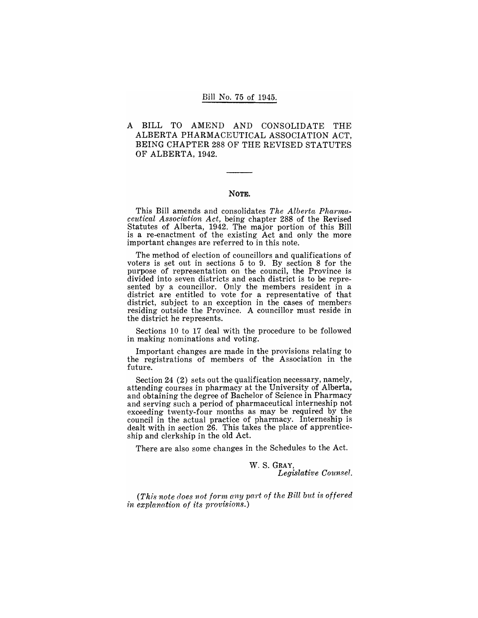#### Bill No. 75 of 1945.

## A BILL TO AMEND AND CONSOLIDATE THE ALBERTA PHARMACEUTICAL ASSOCIATION ACT, BEING CHAPTER 288 OF THE REVISED STATUTES OF ALBERTA, 1942.

#### NOTE.

This Bill amends and consolidates The Alberta Pharma*ceut'ical Assodation Act,* being chapter 288 of the Revised Statutes of Alberta, 1942. The major portion of this Bill is a re-enactment of the existing Act and only the more important changes are referred to in this note.

The method of election of councillors and qualifications of voters is set out in sections 5 to 9. By section 8 for the purpose of representation on the council, the Province is divided into seven districts and each district is to be represented by a councillor. Only the members resident in a district are entitled to vote for a representative of that district, subject to an exception in the cases of members residing outside the Province. A councillor must reside in the district he represents.

Sections 10 to 17 deal with the procedure to be followed in making nominations and voting.

Important changes are made in the provisions relating to the registrations of members of the Association in the future.

Section 24 (2) sets out the qualification necessary, namely, attending courses in pharmacy at the University of Alberta, and obtaining the degree of Bachelor of Science in Pharmacy and serving such a period of pharmaceutical interneship not exceeding twenty-four months as may be required by the council in the actual practice of pharmacy. Interneship is dealt with in section 26. This takes the place of apprenticeship and clerkship in the old Act.

There are also some changes in the Schedules to the Act.

W. S. GRAY, *Legislative Counsel.* 

(This note does not form any part of the Bill but is offered *in explanation of its provisions.)*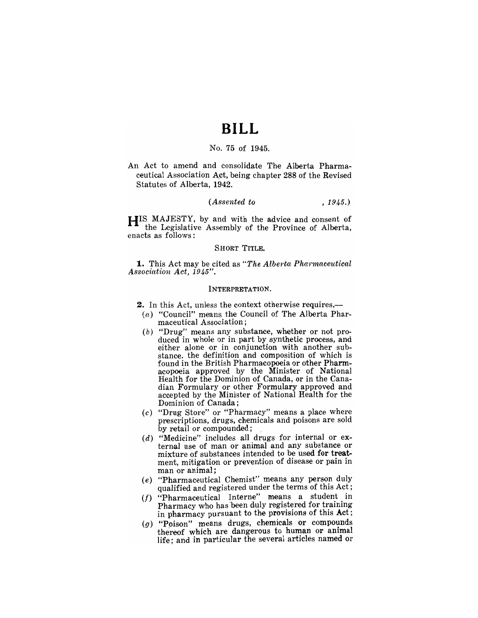## **BILL**

## No. 75 of 1945.

An Act to amend and consolidate The Alberta Pharmaceutical Association Act, being chapter 288 of the Revised Statutes of Alberta, 1942.

#### *(Assented to* , 1945.)

HIS MAJESTY, by and with the advice and consent of the Legislative Assembly of the Province of Alberta, enacts as follows:

#### SHORT TITLE.

**1.** This Act may be cited as "The Alberta Pharmaceutical *Association Act, 1945".* 

#### INTERPRETATION.

- 2. In this Act, unless the context otherwise requires,--
	- $(a)$  "Council" means the Council of The Alberta Pharmaceutical Association;
	- (b) "Drug" means any substance, whether or not produced in whole or in part by synthetic process, and either alone or in conjunction with another substance, the definition and composition of which is found in the British Pharmacopoeia or other Pharmacopoeia approved by the Minister of National Health for the Dominion of Canada, or in the Canadian Formulary or other Formulary approved and accepted by the Minister of National Health for the Dominion of Canada;
	- (c) "Drug Store" or "Pharmacy" means a place where prescriptions, drugs, chemicals and poisons are sold by retail or compounded; .
	- $(d)$  "Medicine" includes all drugs for internal or external use of man or animal and any substance or mixture of substances intended to be used for treatment, mitigation or prevention of disease or pain in man or animal;
	- (e) "Pharmaceutical Chemist" means any person duly qualified and registered under the terms of this Act;
	- *(I)* "Pharmaceutical Interne" means a student in Pharmacy who has 'been duly registered for training in pharmacy pursuant to the provisions of this Act;
	- $(g)$  "Poison" means drugs, chemicals or compounds thereof which are dangerous to human or animal life; and in particular the several articles named or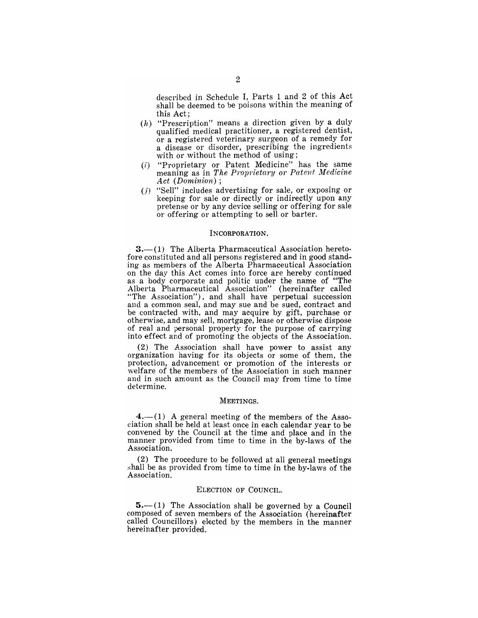described in Schedule I, Parts 1 and 2 of this Act shall be deemed to be poisons within the meaning of this Act;

- $(h)$  "Prescription" means a direction given by a duly qualified medical practitioner, a registered dentist, or a registered veterinary surgeon of a remedy for a disease or disorder, prescribing the ingredients with or without the method of using;
- (i) "Proprietary or Patent Medicine" has the same meaning as in *The Proprietary or Patent Medicine* Act (Dominion);
- $(j)$  "Sell" includes advertising for sale, or exposing or keeping for sale or directly or indirectly upon any pretense or by any device selling or offering for sale or offering or attempting to sell or barter.

#### INCORPORATION.

**3.**—(1) The Alberta Pharmaceutical Association hereto-<br>fore constituted and all persons registered and in good standing as members of the Alberta Pharmaceutical Association on the day this Act comes into force are hereby continued as a body corporate and politic under the name of "The Alberta Pharmaceutical Association" (hereinafter called "The Association"), and shall have perpetual succession and a common seal, and may sue and be sued, contract and be contracted with, and may acquire by gift, purchase or otherwise, and may sell, mortgage, lease or otherwise dispose of real and personal property for the purpose of carrying into effect and of promoting the objects of the Association.

(2). The Association shall have power to assist any organization having for its objects or some of them, the protection, advancement or promotion of the interests or welfare of the members of the Association in such manner and in such amount as the Council may from time to time determine.

#### MEETINGS.

 $4.-(1)$  A general meeting of the members of the Association shall be held at least once in each calendar year to be convened by the Council at the time and place and in the manner provided from time to time in the by-laws of the Association.

 $(2)$  The procedure to be followed at all general meetings shall be as provided from time to time in the by-laws of the Association.

#### ELECTION OF COUNCIL.

 $5 - (1)$  The Association shall be governed by a Council composed of seven members of the Association (hereinafter called Councillors) elected by the members in the manner hereinafter. provided.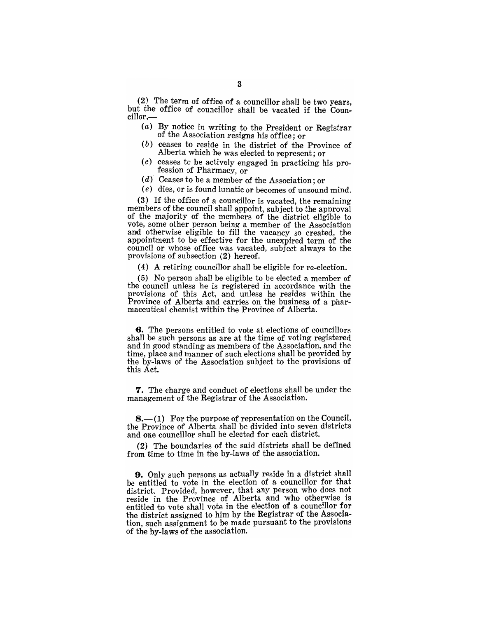(2) The term of office of a councillor shall be two years, but the office of councillor shall be vacated if the Councillor,-

- (a) By notice in writing to the President or Registrar of the Association resigns his office; or
- (b) ceases to reside in the district of the Province of Alberta which he was elected to represent ; or
- $(c)$  ceases to be actively engaged in practicing his profession of Pharmacy, or
- $(d)$  Ceases to be a member of the Association; or
- $(e)$  dies, or is found lunatic or becomes of unsound mind.

(3) If the office of a councillor is vacated, the remaining members of the council shall appoint, subject to the approval of the majority of the members of the district eligible to vote, some other person being a member of the Association and otherwise eligible to fill the vacancy so created, the appointment to be effective for the unexpired term of the council or whose office was vacated, subject always to the provisions of subsection  $(2)$  hereof.

( 4) A retiring councillor shall be eligible for re-election.

(5) No person shall be eligible to be elected a member of the council unless he is registered in accordance with the provisions of this Act, and unless he resides within the Province of Alberta and carries on the business of a pharmaceutical chemist within the Province of Alberta.

**6.** The persons entitled to vote at elections of councillors shall be such persons as are at the time of voting registered and in good standing as members of the Association, and the time, place and manner of such elections shall be provided by the by-laws of the Association subject to the provisions of this Act.

7. The charge and conduct of elections shall be under the management of the Registrar of the Association.

**8.** (1) For the purpose of representation on the Council, the Province of Alberta shall be divided into seven districts and one councillor shall be elected for each district.

 $(2)$  The boundaries of the said districts shall be defined from time to time in the by-laws of the association.

**9.** Only such persons as actually reside in a district shall be entitled to vote in the election of a councillor for that district. Provided, however, that any person who does not reside in the Province of Alberta and who otherwise is entitled to vote shall vote in the election of a councillor for the district assigned to him by the Registrar of the Association, such assignment to be made pursuant to the provisions of the by-laws of the association.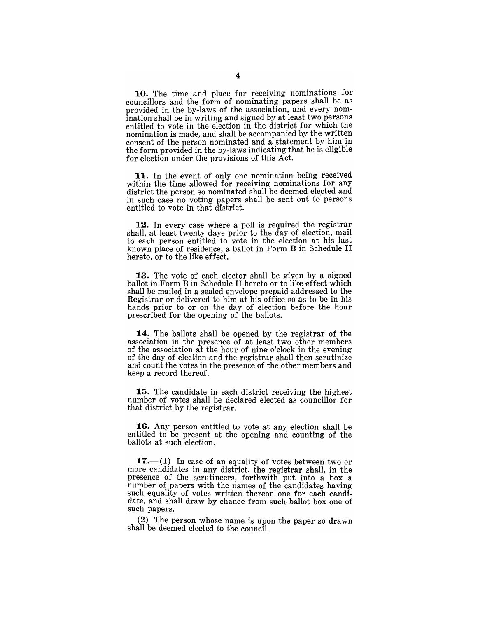10. The time and place for receiying nominations for councillors and the form of nominating papers shall be as provided in the by-laws of the association, and every nomination shall be in writing and signed by at least two persons entitled to vote in the election in the district for which the nomination is made, and shall be accompanied by the written consent of the person nominated and a statement by him in the form provided in the by-laws indicating that he is eligible for election under the provisions of this Act.

11. In the event of only one nomination being received within the time allowed for receiving nominations for any district the person so nominated shall be deemed elected and in such case no voting papers shall be sent out to persons entitled to vote in that district.

12. In every case where a poll is required the registrar shall, at least twenty days prior to the day of election, mail to each person entitled to vote in the election at his last known place of residence, a ballot in Form B in Schedule II hereto, or to the like effect.

**13.** The vote of each elector shall be given by a signed ballot in Form B in Schedule II hereto or to like effect which shall be mailed in a sealed envelope prepaid addressed to the Registrar or delivered to him at his office so as to be in his hands prior to or on the day of election before the hour prescribed for the opening of the ballots.

14. The ballots shall be opened by the registrar of the association in the presence of at least two other members of the association at the hour of nine o'clock in the evening of the day of election and the registrar shall then scrutinize and count the votes in the presence of the other members and keep a record thereof.

**15.** The candidate in each district receiving the highest number of votes shall be declared elected as councillor for that district by the registrar.

**16.** Any person entitled to vote at any election shall be entitled to be present at the opening and counting of the ballots at such election.

 $17.$ —(1) In case of an equality of votes between two or more candidates in any district, the registrar shall, in the presence of the scrutineers, forthwith put into a box a number of papers with the names of the candidates having such equality of votes written thereon one for each candidate, and shall draw by chance from such ballot box one of such papers.

(2) The person whose name is upon the paper so drawn shall be deemed elected to the council.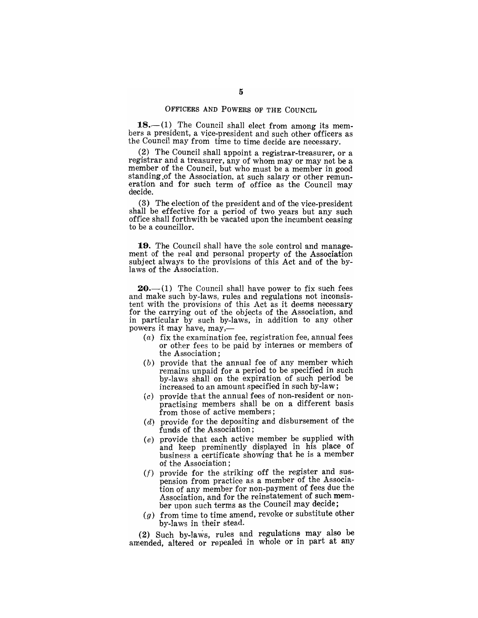#### OFFICERS AND POWERS OF THE COUNCIL

 $18.$ - $(1)$  The Council shall elect from among its members a president, a vice-president and such other officers as the Council may from time to time decide are necessary.

(2) The Council shall appoint a registrar-treasurer, or a registrar and a treasurer, any of whom mayor may not be a member of the Council, but who must be a member in good standing ,of the Association, at such salary or other remuneration and for such term of office as the Council may decide.

 $(3)$  The election of the president and of the vice-president shall be effective for a period of two years but any such office shall forthwith be vacated upon the incumbent ceasing to be a councillor.

**19.** The Council shall have the sole control and management of the real and personal property of the Association subject always to the provisions of this Act and of the bylaws of the Association.

**20.**—(1) The Council shall have power to fix such fees and make such by-laws, rules and regulations not inconsistent with the provisions of this Act as it deems necessary for the carrying out of the objects of the Association, and in particular by such by-laws, in addition to any other powers it may have, may,-

- (a) fix the examination fee, registration fee, annual fees or other fees to be paid by internes or members of the Association;
- (b) provide that the annual fee of any member which remains unpaid for a period to be specified in such by-laws shall on the expiration of such period be increased to an amount specified in such by-law;
- $(c)$  provide that the annual fees of non-resident or nonpractising members shall be on a different basis from those of active members;
- ( $d$ ) provide for the depositing and disbursement of the funds of the Association;
- (e) provide that each active member be supplied with and keep prominently displayed in his place of business a certificate showing that he is a member of the Association;
- $(f)$  provide for the striking off the register and suspension from practice as a member of the Association of any member for non-payment of fees due the Association, and for the reinstatement of such member upon such terms as the Council may decide;
- $(g)$  from time to time amend, revoke or substitute other by-laws in their stead.

 $(2)$  Such by-laws, rules and regulations may also be amended, altered or repealed in whole or in part at any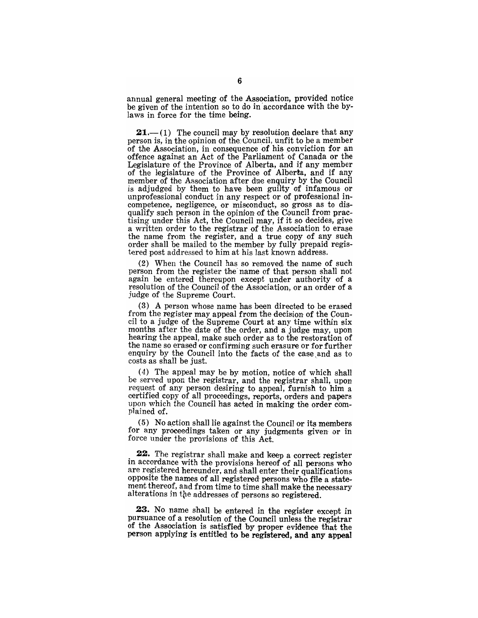annual general meeting of the Association, provided notice be given of the intention so to do in accordance with the bylaws in force for the time being.

**21.**—(1) The council may by resolution declare that any person is, in the opinion of the Council, unfit to be a member of the Association, in consequence of his conviction for an offence against an Act of the Parliament of Canada or the Legislature of the Province of Alberta, and if any member of the legislature of the Province of Alberta, and if any member of the Association after due enquiry by the Council is adjudged by them to have been guilty of infamous or unprofessional conduct in any respect or of professional incompetence, negligence, or misconduct, so gross as to disqualify such person in the opinion of the Council from practising under this Act, the Council may, if it so decides', give a written order to the registrar of the Association to erase the name from the register, and a true copy of any such order shall be mailed to the member by fully prepaid registered post addressed to him at his last known address.

(2) When the Council has so removed the name of such person from the register the-name of that person shall not again be entered thereupon except under authority of a resolution of the Council of the Association, or an order of a judge of the Supreme Court.

(3) A person whose name has been directed to be erased from the register may appeal from the decision of the Council to a judge of the Supreme Court at any time within six months after the date of the order, and a judge may, upon hearing the appeal, make such order as to the restoration of the name so erased or confirming such erasure or for further enquiry by the Council into the facts of the case and as to costs as shall be just.

 $(4)$  The appeal may be by motion, notice of which shall be served upon the registrar, and the registrar shall, upon request of any person desiring to appeal, furnish to him a certified copy of all proceedings, reports, orders and papers upon which the Council has acted in making the order complained of.

 $(5)$  No action shall lie against the Council or its members for any proceedings taken or any judgments given or in force under the provisions of this Act.

22. The registrar shall make and keep a correct register in accordance with the provisions hereof of all persons who are registered hereunder, and shall enter their qualifications opposite the names of all registered persons who file a statement thereof, and from time to time shall make the necessary alterations in the addresses of persons so registered.

23. No name shall be entered in the register except in pursuance of a resolution of the Council unless the registrar of the Association is satisfied by proper evidence that the person applying is entitled to be registered, and any appeal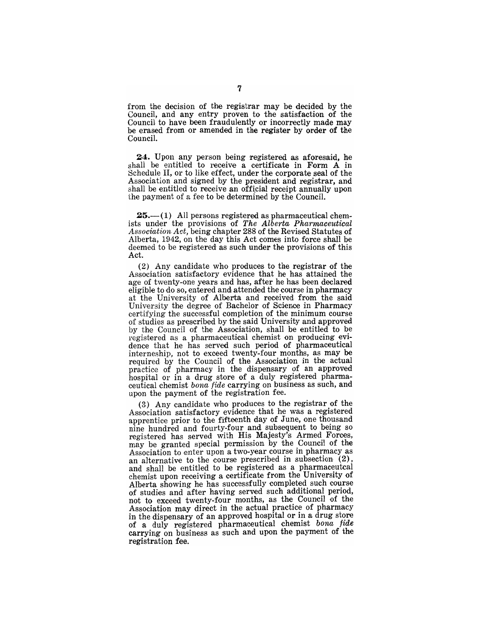from the decision of the registrar may be decided by the Council, and any entry proven to the satisfaction of the Council to have been fraudulently or incorrectly made may be erased from or amended in the register by order of the Council.

24. Upon any person being registered as aforesaid, he shall be entitled to receive a certificate in Form A in Schedule II, or to like effect, under the corporate seal of the Association and signed by the president and registrar, and shall be entitled to receive an official receipt annually upon the payment of a fee to be determined by the Council.

 $25.$ — $(1)$  All persons registered as pharmaceutical chemists under the provisions of *The Alberta Pharmaceutical* Association Act, being chapter 288 of the Revised Statutes of Alberta, 1942, on the day this Act comes into force shall be deemed to be registered as such under the provisions of this Act.

 $(2)$  Any candidate who produces to the registrar of the Association satisfactory evidence that he has attained the age of twenty-one years and has, after he has been declared eligible to do so, entered and attended the course in pharmacy at the University of Alberta and received, from the said University the degree of Bachelor of Science in Pharmacy certifying the successful completion of the minimum course of studies as prescribed by the said University and approved by the Council of the Association, shall be entitled to be registered as a pharmaceutical chemist on producing evidence that he has served such period of pharmaceutical interneship, not to exceed twenty-four months, as may be required by the Council of the Association in the actual practice of pharmacy in the dispensary of an approved hospital or in a drug store of a duly registered pharmaceutical chemist *bona fide* carrying on business as such, and upon the payment of the registration fee.

 $(3)$  Any candidate who produces to the registrar of the Association satisfactory evidence that he was a registered apprentice prior to the fifteenth day of June, one thousand nine hundred and fourty-four and subsequent to being so registered has served with His Majesty's Armed Forces, may be granted special permission by the Council of the Association to enter upon a two-year course in pharmacy as an alternative to the course prescribed in subsection (2), and shall be entitled to be registered as a pharmaceutcal chemist upon receiving a certificate from the University of Alberta showing he has successfully completed such course of studies and after having served such additional period, not to exceed twenty-four months, as the Council of the Association may direct in the actual practice of pharmacy in the dispensary of an approved hospital or in a drug store of a duly registered pharmaceutical chemist *bona fide*  carrying on business as such and upon the payment of the registration fee.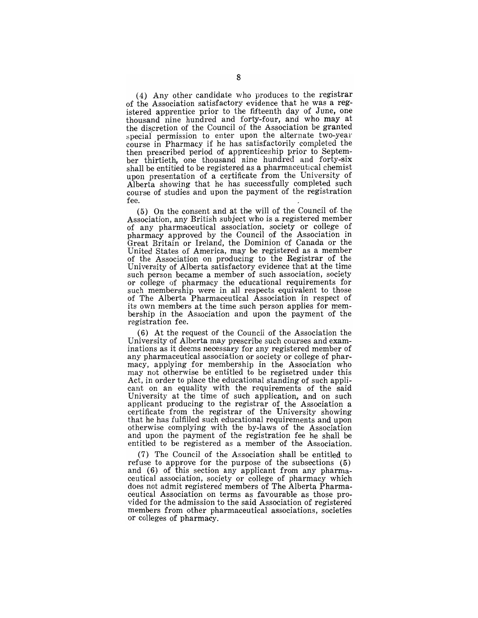(4) Any other candidate who produces to the registrar of the Association satisfactory evidence that he was a registered apprentice prior to the fifteenth day of June, one thousand nine hundred and forty-four, and who may at the discretion of the Council of the Association be granted special permission to enter upon the alternate two-year course in Pharmacy if he has satisfactorily completed the then prescribed period of apprenticeship prior to September thirtieth, one thousand nine hundred and forty-six shall be entitled to be registered as a pharmaceutical chemist upon presentation of a certificate from the University of Alberta showing that he has successfully completed such course of studies and upon the payment of the registration fee.

(5) On the consent and at the will of the Council of. the Association, any British subject who is a registered member of any pharmaceutical association, society or college of pharmacy approved by the Council of the Association in Great Britain or Ireland, the Dominion of Canada or the United States of America, may be registered as a member of the Association on producing to the Registrar of the University of Alberta satisfactory evidence that at the time such person became a member of such association, society or college of pharmacy the educational requirements for such membership were in all respects equivalent to those of The Alberta Pharmaoeutical Association in respect of its own members at the time such person applies for membership in the Association and upon the payment of the registration fee.

(6) At the request of the Council of the Association the University of Alberta may prescribe such courses and examinations as it deems necessary for any registered member of any pharmaceutical association or society or college of pharmacy, applying for membership in the Association who may not otherwise be entitled to be regisetred under this Act, in order to place the educational standing of such applicant on an equality with the requirements of the said University at the time of such application, and on such applicant producing to the registrar of the Association a certificate from the registrar of the University showing that he has fulfilled such educational requirements and upon otherwise complying with the by-laws of the Association and upon the payment of the registration fee he shall be entitled to be registered as a member of the Association.

(7) The Council of the Association shall be entitled to refuse to approve for the purpose of the subsections  $(5)$ and (6) of this section any applicant from any pharmaceutical association, society or college of pharmacy which does not admit registered members of The Alberta Pharmaceutical Association on terms as favourable as those provided for the admission to the said Association of registered members from other pharmaceutical associations, societies or colleges of pharmacy.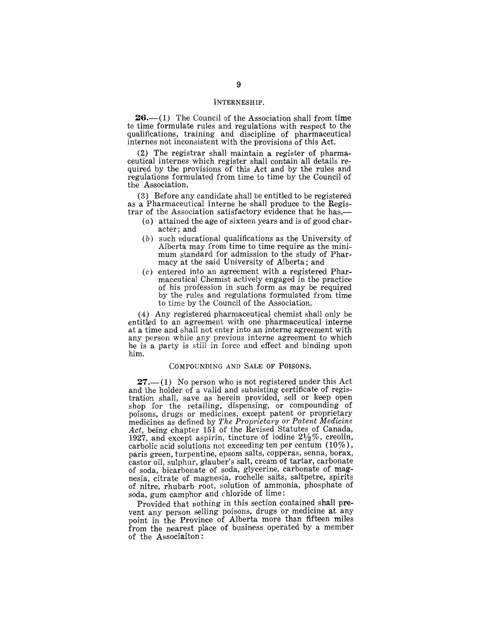#### INTERNESHIP.

 $26$ — $(1)$  The Council of the Association shall from time to time formulate rules and regulations with respect to the qualifications, training and discipline of pharmaceutical internes not inconsistent with the provisions of this Act.

 $(2)$  The registrar shall maintain a register of pharmaceutical internes which register shall contain all details required by the provisions of this Act and by the rules and regulations formulated from time to time by the Council of the Association.

(3) Before any candidate shall be entitled to be registered as a Pharmaceutical Interne he shall produce to the Registrar of the Association satisfactory evidence that he has,—

- $(a)$  attained the age of sixteen years and is of good character; and
- (b) such educational qualifications as the University of Alberta may from time to time require as the minimum standard for admission to the study of Pharmacy at the said University of Alberta; and
- (c) entered into an agreement with a registered Pharmaceutical Chemist actively engaged in the practice of his profession in such form as may be required by the rules and regulations formulated from time to time by the Council of the Association.

(4) Any registered pharmaceutical chemist shall only be entitled to an agreement with one pharmaceutical interne at a time and shall not enter into an interne agreement with any person while any previous interne agreement to which he is a party is still in force and effect and binding upon him.

#### COMPOUNDING AND SALE OF POISONS.

 $27.-(1)$  No person who is not registered under this Act and the holder of a valid and subsisting certificate of registration shall, save as herein provided, sell or keep open shop for the retailing, dispensing, or compounding of poisons, drugs or medicines, except patent or proprietary medicines as defined by *The Proprietary or Patent Medicine Act,* being chapter 151 of the Revised Statutes of Canada, 1927, and except aspirin, tincture of iodine  $2\frac{1}{2}\%$ , creolin, carbolic acid solutions not exceeding ten per centum  $(10\%)$ , paris green, turpentine, epsom salts, copperas, senna, borax, castor oil, sulphur, glauber's salt, cream of tartar, carbonate of soda, bicarbonate of soda, glycerine, carbonate of magnesia, citrate of magnesia, rochelle salts, saltpetre, spirits of nitre, rhubarb root, solution of ammonia, phosphate of soda, gum camphor and chloride of lime:

Provided that nothing in this section contained shall prevent any person selling poisons, drugs or medicine at any point in the Province of Alberta more than fifteen miles from the nearest place of business operated by a member of the Associaiton: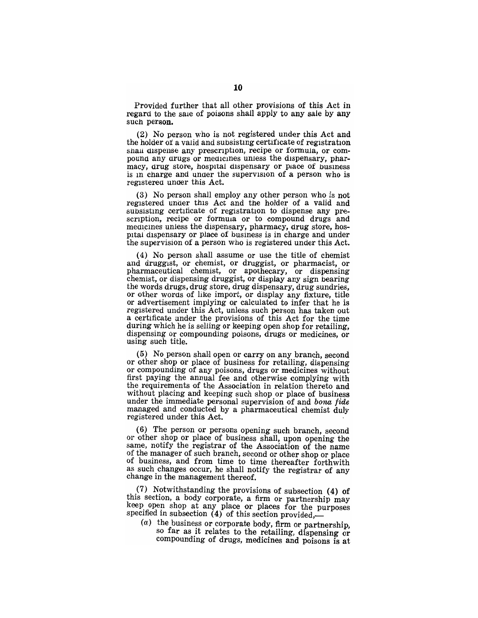Provided further that all other provisions of this Act in regard to the sale of poisons shall apply to any sale by any such person.

(2) No person who is not registered under this Act and the holder of a valid and subsisting certificate of registration shall dispense any prescription, recipe or formula, or compound any drugs or medicines unless the dispensary, pharmacy, drug store, hospital dispensary or place of business is in charge and under the supervision of a person who is registered under this Act.

(3) No person shall employ any other person who is not registered under this Act and the holder of a valid and subsisting certificate of registration to dispense any prescription, recipe or formula or to compound drugs and mealcines unless the dispensary, pharmacy, drug store, hospital dispensary or place of business is in charge and under the supervision of a person who is registered under this Act.

(4) No person shall assume or use the title of chemist and druggist, or chemist, or druggist, or pharmacist, or pharmaceutical chemist, or apothecary, or dispensing chemist, or dispensing druggist, or display any sign bearing the words drugs, drug store, drug dispensary, drug sundries, or other words of like import, or display any fixture, title or advertisement implying or calculated to infer that he is registered under this Act, unless such person has taken out a certificate under the provisions of this Act for the time during which he is selling or keeping open shop for retailing, dispensing or compounding poisons, drugs or medicines, or using such title.

(5) No person shaH open or carry on any branch, second or other shop or place of business for retailing, dispensing or compounding of any poisons, drugs or medicines without first paying the annual fee and otherwise complying with the requirements of the Association in relation thereto and without placing and keeping such shop or place of business under the immediate personal supervision of and bona fide managed and conducted by a pharmaceutical chemist duly registered under this Act. '

(6) The person or persons opening such branch, second or other shop or place of business shall, upon opening the same, notify the registrar of the Association of the name of the manager of such branch, second or other shop or place of business, and from time to time thereafter forthwith as such changes occur, he shall notify the registrar of any change in the management thereof .

 $(7)$  Notwithstanding the provisions of subsection (4) of this section, a body corporate, a firm or partnership may keep open shop at any place or places for the purposes  $\sum_{i=1}^{\infty}$  been shop at any place or places for the pul-

 $(a)$  the business or corporate body, firm or partnership, so far as it relates to the retailing dispension or<br>o far as it relates to the retailing dispensing or o far as it relates to the retailing, dispensing or<br>ompounding of drugs, medicines and poisons is at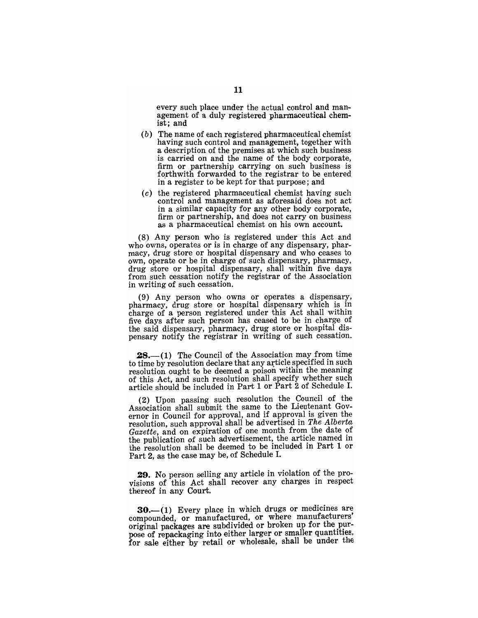every such place under the actual control and management of a duly registered pharmaceutical chemist; and

- (b) The name of each registered pharmaceutical chemist having such control and management, together with a description of the premises at which such business is carried on and the name of the body corporate, firm or partnership carrying on such business is forthwith forwarded to the registrar to be entered in a register to be kept for that purpose ; and
- $(c)$  the registered pharmaceutical chemist having such control and management as aforesaid does not act in a similar capacity for any other body corporate, firm or partnership, and does not carry on business as a pharmaceutical chemist on his own account.

(8) Any person who is registered under this Act and who owns, operates or is in charge of any dispensary, pharmacy, drug store or hospital dispensary and who ceases to own, operate or be in charge of such dispensary, pharmacy, drug store or hospital dispensary, shall within five days from such cessation notify the registrar of the Association in writing of such cessation.

(9) Any person who owns or operates a dispensary, pharmacy, drug store or hospital dispensary which is in charge of a person registered under this Act shall within five days after such person has ceased to be in charge of the said dispensary, pharmacy, drug store or hospital dispensary notify the registrar in writing of such cessation.

 $28$ .-(1) The Council of the Association may from time to time by resolution declare that any article specified in such resolution ought to be deemed a poison within the meaning of this Act, and such resolution shall specify whether such article should be included in Part 1 or Part 2 of Schedule I.

(2) Upon passing such resolution the Council of the Association shall submit the same to the Lieutenant Governor in Council for approval, and if approval is given the resolution, such approval shall be advertised in *The Alberta Gazette,* and on expiration of one month from the date of the publication of such advertisement, the article named in the resolution shall be deemed to be included in Part 1 or Part 2, as the case may be, of Schedule I.

29. No person selling any article in violation of the provisions of this Act shall recover any charges in respect thereof in any Court.

 $30-$ (1) Every place in which drugs or medicines are compounded, or manufactured, or where manufacturers' original packages are subdivided or broken up for the purpose of repackaging into either larger or smaller quantities, for sale either by retail or wholesale, shall be under the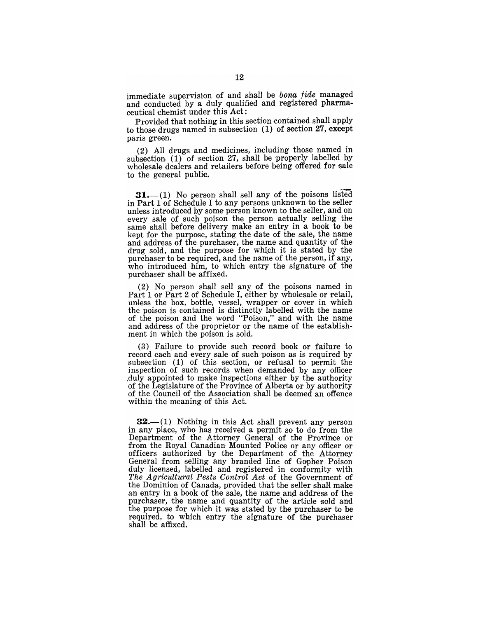immediate supervision of and shall be bona fide managed and conducted by a duly qualified and registered pharmaceutical chemist under this Act:

Provided that nothing in this section contained shall apply to those drugs named in subsection (1) of section 27, except paris green.

(2) All drugs and medicines, including those named in subsection  $(1)$  of section 27, shall be properly labelled by wholesale dealers and retailers before being offered for sale to the general public.

 $31.$  (1) No person shall sell any of the poisons listed in Part  $1$  of Schedule I to any persons unknown to the seller unless introduced by some person known to the seller, and on every sale of such poison the person actually selling the same shall before delivery make an entry in a book to be kept for the purpose, stating the date of the sale, the name and address of the purchaser, the name and quantity of the drug sold, and the purpose for which it is stated by the purchaser to be required, and the name of the person, if any, who introduced him, to which entry the signature of the purchaser shall be affixed.

 $(2)$  No person shall sell any of the poisons named in Part 1 or Part 2 of Schedule I, either by wholesale or retail, unless the box, bottle, vessel, wrapper or cover in which the poison is contained is distinctly labelled with the name of the poison and the word "Poison," and with the name and address of the proprietor or the name of the establishment in which the poison is sold.

(3) Failure to provide such record book or failure to record each and every sale of such poison as is required by subsection (1) of this section, or refusal to permit the inspection of such records when demanded by any officer duly appointed to make inspections either by the authority of the Legislature of the Province of Alberta or by authority of the Council of the Association shall be deemed an offence within the meaning of this Act.

 $32-$ (1) Nothing in this Act shall prevent any person in any place, who has received a permit so to do from the Department of the Attorney General of the Province or from the Royal Canadian Mounted Police or any officer or officers authorized by the Department of the Attorney General from selling any branded line of Gopher Poison duly licensed, labelled and registered in conformity with *The Agricultural Pests Control Act* of the Government of the Dominion of Canada, provided that the seller shall make an entry in a book of the sale, the name and address of the purchaser, the name and quantity of the article sold and the purpose for which it was stated by the purchaser to be required, to which entry the signature of the purchaser shall be affixed.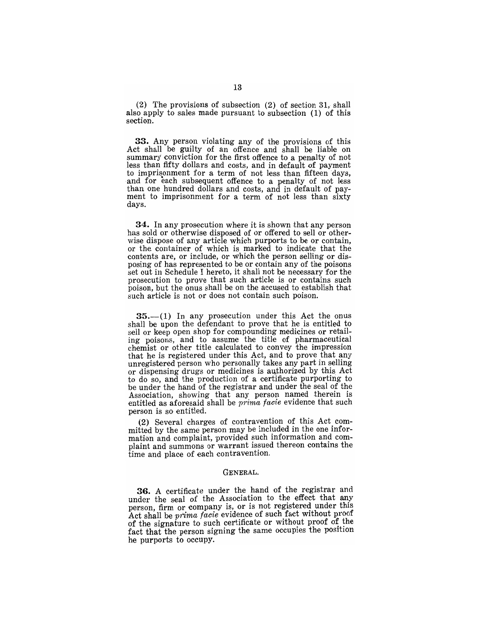(2) The provisions of subsection (2) of section 31, shall also apply to sales made pursuant to subsection (1) of this section.

33. Any person violating any of the provisions of this Act shall be guilty of an offence and shall be liable on summary conviction for the first offence to a penalty of not less than fifty dollars and costs, and in default of payment to imprisonment for a term of not less than fifteen days, and for each subsequent offence to a penalty of not less than one hundred dollars and costs, and in default of payment to imprisonment for a term of not less than sixty days.

34. In any prosecution where it is shown that any person has sold or otherwise disposed of or offered to sell or otherwise dispose of any article which purports to be or contain, or the container of which is marked to indicate that the contents are, or include, or which the person selling or disposing of has represented to be or contain any of the poisons set out in Schedule I hereto, it shall not be necessary for the prosecution to prove that such article is or contains such poison, but the onus shall be on the accused to establish that such article is not or does not contain such poison.

 $35-$ (1) In any prosecution under this Act the onus shall be upon the defendant to prove that he is entitled to sell or keep open shop for compounding medicines or retailing poisons, and to assume the title of pharmaceutical chemist or other title calculated to convey the impression that he is registered under this Act, and to prove that any unregistered person who personally takes any part in selling or dispensing drugs or medicines is authorized by this Act to do so, and the production of a certificate purporting to be under the hand of the registrar and under the seal of the Association, showing that any person named therein is entitled as aforesaid shall be *prima facie* evidence that such person is so entitled.

(2) Several charges of contravention of this Act committed by the same person may be included in the one information and complaint, provided such information and complaint and summons or warrant issued thereon contains the time and place of each contravention.

#### GENERAL.

36. A certificate under the hand of the registrar and under the seal of the Association to the effect that any person, firm or company is, or is not registered under this Act shall be *prima facie* evidence of such fact without proof of the signature to such certificate or without proof of the fact that the person signing the same occupies the position he purports to occupy.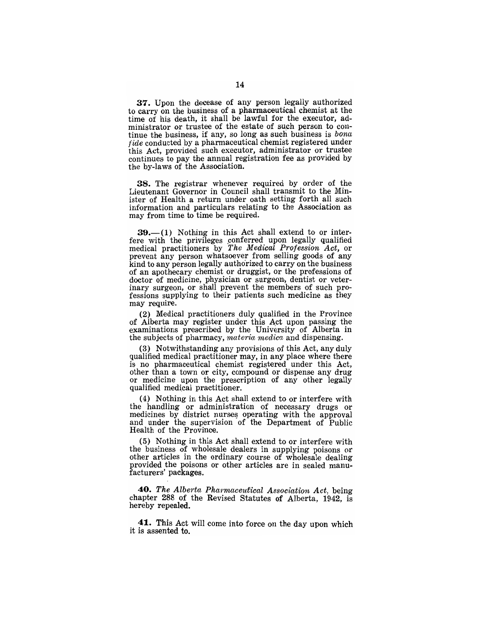37. Upon the decease of any person legally authorized to carry on the business of a pharmaceutical chemist at the time of his death, it shall be lawful for the executor, administrator or trustee of the estate of such person to continue the business, if any, so long as such business is *bona fide* conducted by a pharmaceutical chemist registered under this Act, provided such executor, administrator or trustee continues to pay the annual registration fee as provided by the by-laws of the Association.

38. The registrar whenever required by order of the Lieutenant Governor in Council shall transmit to the Min~ ister of Health a return under oath setting forth all such information and particulars relating to the Association as may from time to time be required.

 $39.-(1)$  Nothing in this Act shall extend to or interfere with the privileges conferred upon legally qualified medical practitioners by *The Medical Profession Act,* or prevent any person whatsoever from selling goods of any kind to any person legally authorized to carryon the business of an apothecary chemist or druggist, or the professions of doctor of medicine, physician or surgeon, dentist or veterinary surgeon, or shall prevent the members of such professions supplying to their patients such medicine as they may require.

(2) Medical practitioners duly qualified in the Province of Alberta may register under this Act upon passing the examinations prescribed by the University of Alberta in the subjects of pharmacy, *materia medica* and dispensing.

(3) Notwithstanding any provisions of this Act, any duly qualified medical practitioner may, in any place where there is no pharmaceutical chemist registered under this Act, other than a town or city, compound or dispense any drug or medicine upon the prescription of any other legally qualified medical practitioner.

(4) Nothing in this Act shall extend to or interfere with the handling or administration of necessary drugs or medicines by district nurses operating with the approval and under the supervision of the Department of Public Health of the Province.

(5) Nothing in this Act shall extend to or interfere with the business of wholesale dealers in supplying poisons or other articles in the ordinary course of wholesale dealing provided the poisons or other articles are in sealed manufacturers' packages.

*40. The Alberta Pharmaceutical Association Act,* being chapter 288 of the Revised Statutes of Alberta, 1942, is hereby repealed.

41. This Act will come into force on the day upon which it is assented to.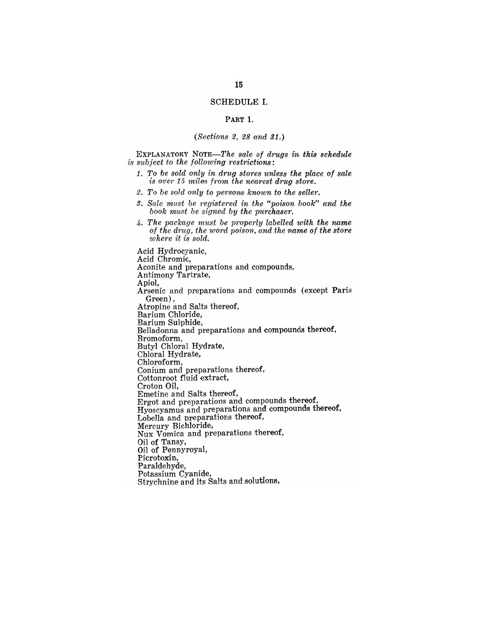#### SCHEDULE I.

#### PART 1.

## *(Sections* 2, 28 *and 31.)*

EXPLANATORY *NOTE-The sale of drugs in this schedule is subject to the following restrictions:* 

- *1. To be sold only in drug stores unless the place of sale is over* 15 *miles from the nearest drug store.*
- 2. To be sold only to persons known to the seller.
- 3. Sale must be registered in the "poison book" and the *book mU8t be signed by the purchaser.*
- *4. The package must be properly labelled with the name*  of the drug, the word poison, and the name of the store  $where it is sold.$

Acid Hydrocyanic, Acid Chromic, Aconite and preparations and compounds, Antimony Tartrate, Apiol, Arsenic and preparations and compounds (except Paris Green),<br>Atropine and Salts thereof, Barium Chloride, Belladonna and preparations and compounds thereof, Bromoform, Butyl Chloral Hydrate, Chloral Hydrate, Chloroform, Conium and preparations thereof, Cottonroot fluid extract, Croton Oil, Emetine and Salts thereof, Ergot and preparations and compounds thereof, Hyoscyamus and preparations and compounds thereof, LobelIa and preparations thereof, Mercury Bichloride, Nux Vomica and preparations thereof, Oil of Tansy, Oil of Pennyroyal, Picrotoxin, Paraldehyde,<br>Potassium Cyanide, Strychnine and its Salts and solutions,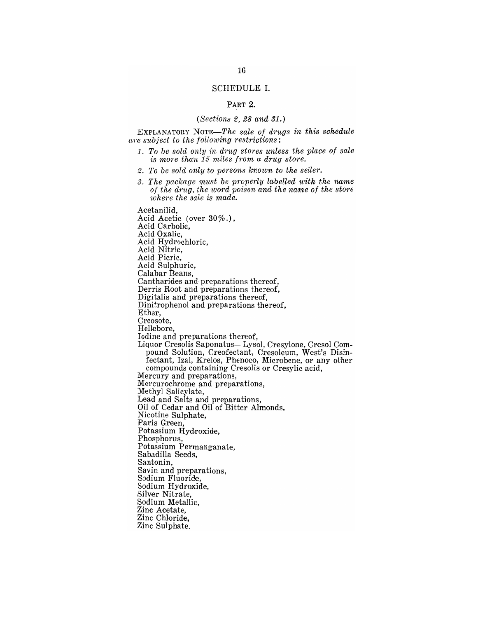#### SCHEDULE 1.

### PART 2.

#### *(Sections* 2, 28 *and 31.)*

EXPLANATORY NOTE—The sale of drugs in this schedule *(are subject to the following restrictions:* 

- *1. To be sold only in drug stores unless the place of sale is mOTe than* 15 n~iles *from a drug store.*
- 2. To be sold only to persons known to the seller.
- *3. The package must be properly labelled with the name of the drug, the word poison and the name of the store where the sale is made.*

Acetanilid, Acid Acetic (over 30%.),<br>Acid Carbolic, Acid Oxalic, Acid Hydrochloric, Acid Nitric, Acid Picric, Acid Sulphuric, Calabar Beans, Cantharides and preparations thereof, Derris Root and preparations thereof, Digitalis and preparations thereof, Dinitrophenol and preparations thereof, Ether, Creosote, Hellebore, Iodine and preparations thereof, Liquor Cresolis Saponatus-Lysol, Cresylone, Cresol Compound Solution, Creofectant, Cresoleum, West's Disinfectant, Izal, Krelos, Phenoco, Microbene, or any other compounds containing Cresolis or Cresylic acid, Mercury and preparations, Mercurochrome and preparations, Methyl Salicylate, Lead and Salts and preparations, Oil of Cedar and Oil of Bitter Almonds, Nicotine Sulphate, Paris Green, Potassium Hydroxide, Phosphorus, Potassium Permanganate, Sabadilla Seeds, Santonin, Savin and preparations, Sodium Fluoride, Sodium Hydroxide, Silver Nitrate, Sodium Metallic, Zinc Acetate, Zinc Chloride, Zinc Sulphate.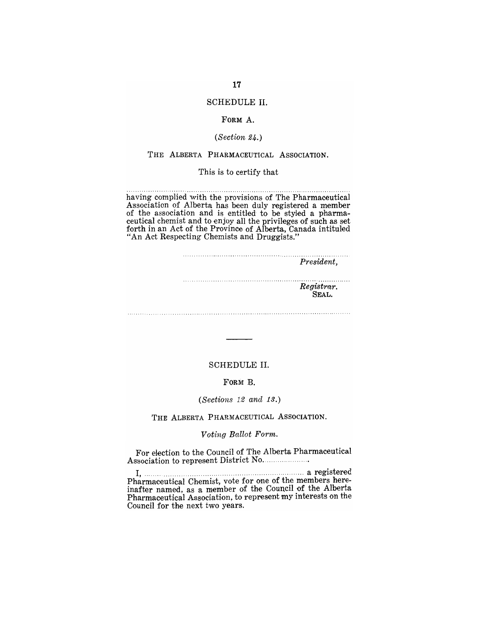## SCHEDULE **II.**

### FORM A.

## *(Section 24.)*

## THE ALBERTA PHARMACEUTICAL ASSOCIATION.

#### This is to certify that

. . . . . . . . . . . . . . . . . . . . . . . . . . . . . . . . . . . . . . . . . . . . . . . . . having complied with the provisions of The Pharmaceutical Association of Alberta has been duly registered a member of the association and is entitled to be styled a pharmaceutical chemist and to enjoy all the privileges of such as set forth in an Act of the Province of Alberta, Canada intituled "An Act Respecting Chemists and Druggists."

| President,          |
|---------------------|
| Registrar.<br>SEAL. |

#### SCHEDULE II.

## FORM B.

#### *(Secti01IS* 12 *and 13.)*

## THE ALBERTA PHARMACEUTICAL ASSOCIATION.

#### *Voting Ballot Form.*

For election to the Council of The Alberta Pharmaceutical Association to represent District No ..................... .

I, .......................................................................... a registered Pharmaceutical Chemist, vote for one of the members hereinafter named, as a member of the Council of the Alberta Pharmaceutical Association, to represent my interests on the Council for the next two years.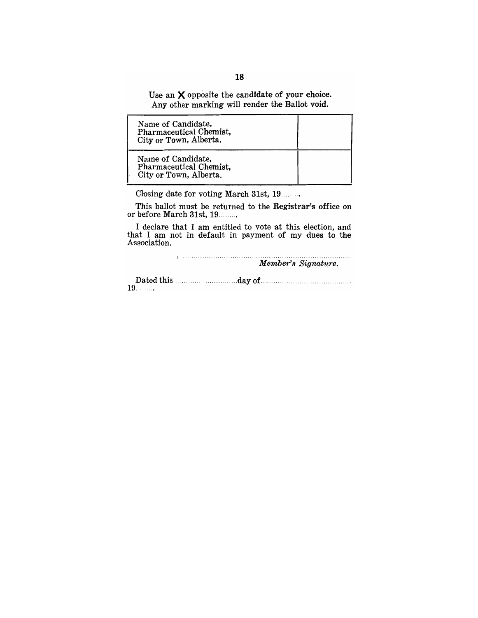Use an  $X$  opposite the candidate of your choice. Any other marking will render the Ballot void.

| Name of Candidate,<br>Pharmaceutical Chemist,<br>City or Town, Alberta. |  |
|-------------------------------------------------------------------------|--|
| Name of Candidate,<br>Pharmaceutical Chemist,<br>City or Town, Alberta. |  |

Closing date for voting March 31st, 19 ........ .

This ballot must be returned to the Registrar's office on or before March 31st, 19........

I declare that I am entitled to vote at this election, and that I am not in default in payment of my dues to the Association.

> *Member's Signature.*  . . . . . . . . . . . . . . . . .

Dated this ... 19 .... ., ................. d'ayof ......................................... .